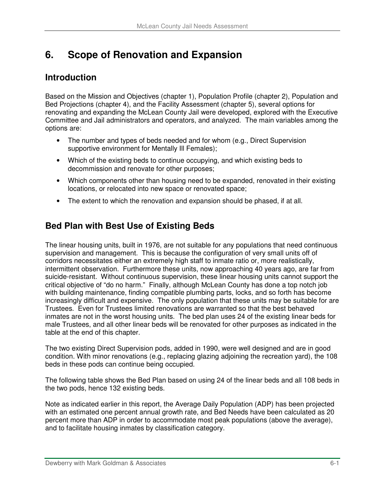# **6. Scope of Renovation and Expansion**

# **Introduction**

Based on the Mission and Objectives (chapter 1), Population Profile (chapter 2), Population and Bed Projections (chapter 4), and the Facility Assessment (chapter 5), several options for renovating and expanding the McLean County Jail were developed, explored with the Executive Committee and Jail administrators and operators, and analyzed. The main variables among the options are:

- The number and types of beds needed and for whom (e.g., Direct Supervision supportive environment for Mentally III Females);
- Which of the existing beds to continue occupying, and which existing beds to decommission and renovate for other purposes;
- Which components other than housing need to be expanded, renovated in their existing locations, or relocated into new space or renovated space;
- The extent to which the renovation and expansion should be phased, if at all.

# **Bed Plan with Best Use of Existing Beds**

The linear housing units, built in 1976, are not suitable for any populations that need continuous supervision and management. This is because the configuration of very small units off of corridors necessitates either an extremely high staff to inmate ratio or, more realistically, intermittent observation. Furthermore these units, now approaching 40 years ago, are far from suicide-resistant. Without continuous supervision, these linear housing units cannot support the critical objective of "do no harm." Finally, although McLean County has done a top notch job with building maintenance, finding compatible plumbing parts, locks, and so forth has become increasingly difficult and expensive. The only population that these units may be suitable for are Trustees. Even for Trustees limited renovations are warranted so that the best behaved inmates are not in the worst housing units. The bed plan uses 24 of the existing linear beds for male Trustees, and all other linear beds will be renovated for other purposes as indicated in the table at the end of this chapter.

The two existing Direct Supervision pods, added in 1990, were well designed and are in good condition. With minor renovations (e.g., replacing glazing adjoining the recreation yard), the 108 beds in these pods can continue being occupied.

The following table shows the Bed Plan based on using 24 of the linear beds and all 108 beds in the two pods, hence 132 existing beds.

Note as indicated earlier in this report, the Average Daily Population (ADP) has been projected with an estimated one percent annual growth rate, and Bed Needs have been calculated as 20 percent more than ADP in order to accommodate most peak populations (above the average), and to facilitate housing inmates by classification category.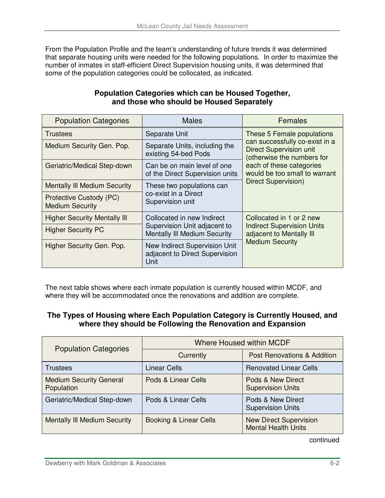From the Population Profile and the team's understanding of future trends it was determined that separate housing units were needed for the following populations. In order to maximize the number of inmates in staff-efficient Direct Supervision housing units, it was determined that some of the population categories could be collocated, as indicated.

| <b>Population Categories</b>                      | <b>Males</b>                                                            | Females                                                                                                                                                                                   |  |
|---------------------------------------------------|-------------------------------------------------------------------------|-------------------------------------------------------------------------------------------------------------------------------------------------------------------------------------------|--|
| Trustees                                          | Separate Unit                                                           | These 5 Female populations<br>can successfully co-exist in a<br><b>Direct Supervision unit</b><br>(otherwise the numbers for<br>each of these categories<br>would be too small to warrant |  |
| Medium Security Gen. Pop.                         | Separate Units, including the<br>existing 54-bed Pods                   |                                                                                                                                                                                           |  |
| Geriatric/Medical Step-down                       | Can be on main level of one<br>of the Direct Supervision units          |                                                                                                                                                                                           |  |
| <b>Mentally III Medium Security</b>               | These two populations can                                               | Direct Supervision)                                                                                                                                                                       |  |
| Protective Custody (PC)<br><b>Medium Security</b> | co-exist in a Direct<br>Supervision unit                                |                                                                                                                                                                                           |  |
| <b>Higher Security Mentally III</b>               | Collocated in new Indirect                                              | Collocated in 1 or 2 new                                                                                                                                                                  |  |
| <b>Higher Security PC</b>                         | Supervision Unit adjacent to<br>Mentally III Medium Security            | <b>Indirect Supervision Units</b><br>adjacent to Mentally III                                                                                                                             |  |
| Higher Security Gen. Pop.                         | New Indirect Supervision Unit<br>adjacent to Direct Supervision<br>Unit | <b>Medium Security</b>                                                                                                                                                                    |  |

#### **Population Categories which can be Housed Together, and those who should be Housed Separately**

The next table shows where each inmate population is currently housed within MCDF, and where they will be accommodated once the renovations and addition are complete.

#### **The Types of Housing where Each Population Category is Currently Housed, and where they should be Following the Renovation and Expansion**

| <b>Population Categories</b>                 | Where Housed within MCDF |                                                             |
|----------------------------------------------|--------------------------|-------------------------------------------------------------|
|                                              | Currently                | <b>Post Renovations &amp; Addition</b>                      |
| <b>Trustees</b>                              | <b>Linear Cells</b>      | <b>Renovated Linear Cells</b>                               |
| <b>Medium Security General</b><br>Population | Pods & Linear Cells      | Pods & New Direct<br><b>Supervision Units</b>               |
| Geriatric/Medical Step-down                  | Pods & Linear Cells      | Pods & New Direct<br><b>Supervision Units</b>               |
| <b>Mentally III Medium Security</b>          | Booking & Linear Cells   | <b>New Direct Supervision</b><br><b>Mental Health Units</b> |

continued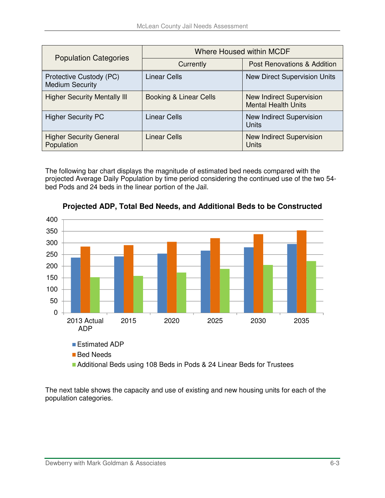| <b>Population Categories</b>                      | <b>Where Housed within MCDF</b> |                                                               |
|---------------------------------------------------|---------------------------------|---------------------------------------------------------------|
|                                                   | Currently                       | <b>Post Renovations &amp; Addition</b>                        |
| Protective Custody (PC)<br><b>Medium Security</b> | <b>Linear Cells</b>             | <b>New Direct Supervision Units</b>                           |
| <b>Higher Security Mentally III</b>               | Booking & Linear Cells          | <b>New Indirect Supervision</b><br><b>Mental Health Units</b> |
| <b>Higher Security PC</b>                         | <b>Linear Cells</b>             | New Indirect Supervision<br><b>Units</b>                      |
| <b>Higher Security General</b><br>Population      | <b>Linear Cells</b>             | <b>New Indirect Supervision</b><br>Units                      |

The following bar chart displays the magnitude of estimated bed needs compared with the projected Average Daily Population by time period considering the continued use of the two 54 bed Pods and 24 beds in the linear portion of the Jail.



**Projected ADP, Total Bed Needs, and Additional Beds to be Constructed** 

The next table shows the capacity and use of existing and new housing units for each of the population categories.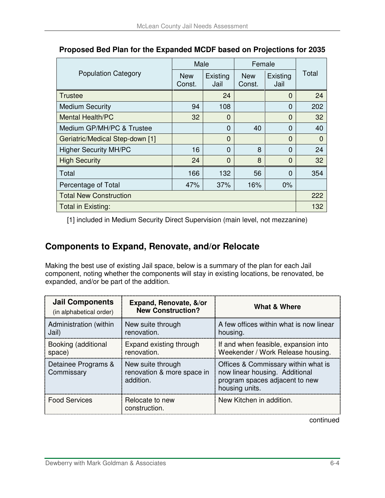| <b>Population Category</b>      | Male                 |                  | Female               |                  |          |
|---------------------------------|----------------------|------------------|----------------------|------------------|----------|
|                                 | <b>New</b><br>Const. | Existing<br>Jail | <b>New</b><br>Const. | Existing<br>Jail | Total    |
| Trustee                         |                      | 24               |                      | $\overline{0}$   | 24       |
| <b>Medium Security</b>          | 94                   | 108              |                      | 0                | 202      |
| <b>Mental Health/PC</b>         | 32                   | $\Omega$         |                      | $\Omega$         | 32       |
| Medium GP/MH/PC & Trustee       |                      | $\Omega$         | 40                   | $\Omega$         | 40       |
| Geriatric/Medical Step-down [1] |                      | $\Omega$         |                      | $\Omega$         | $\Omega$ |
| <b>Higher Security MH/PC</b>    | 16                   | $\Omega$         | 8                    | $\Omega$         | 24       |
| <b>High Security</b>            | 24                   | $\Omega$         | 8                    | $\overline{0}$   | 32       |
| Total                           | 166                  | 132              | 56                   | $\Omega$         | 354      |
| Percentage of Total             | 47%                  | 37%              | 16%                  | 0%               |          |
| <b>Total New Construction</b>   |                      |                  | 222                  |                  |          |
| Total in Existing:              |                      |                  |                      |                  | 132      |

### **Proposed Bed Plan for the Expanded MCDF based on Projections for 2035**

[1] included in Medium Security Direct Supervision (main level, not mezzanine)

# **Components to Expand, Renovate, and/or Relocate**

Making the best use of existing Jail space, below is a summary of the plan for each Jail component, noting whether the components will stay in existing locations, be renovated, be expanded, and/or be part of the addition.

| <b>Jail Components</b><br>(in alphabetical order) | Expand, Renovate, &/or<br><b>New Construction?</b>           | What & Where                                                                                                              |
|---------------------------------------------------|--------------------------------------------------------------|---------------------------------------------------------------------------------------------------------------------------|
| Administration (within<br>Jail)                   | New suite through<br>renovation.                             | A few offices within what is now linear<br>housing.                                                                       |
| Booking (additional<br>space)                     | Expand existing through<br>renovation.                       | If and when feasible, expansion into<br>Weekender / Work Release housing.                                                 |
| Detainee Programs &<br>Commissary                 | New suite through<br>renovation & more space in<br>addition. | Offices & Commissary within what is<br>now linear housing. Additional<br>program spaces adjacent to new<br>housing units. |
| <b>Food Services</b>                              | Relocate to new<br>construction.                             | New Kitchen in addition.                                                                                                  |

continued